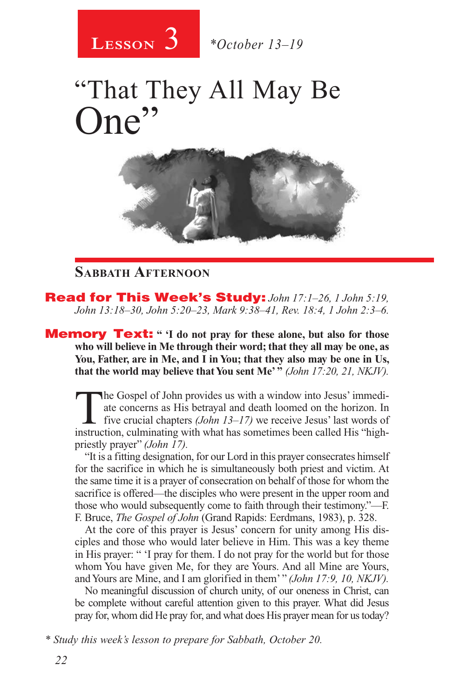

# "That They All May Be One



### **Sabbath Afternoon**

Read for This Week's Study: *John 17:1–26, 1 John 5:19, John 13:18–30, John 5:20–23, Mark 9:38–41, Rev. 18:4, 1 John 2:3–6.*

**Memory Text:** "I do not pray for these alone, but also for those **who will believe in Me through their word; that they all may be one, as You, Father, are in Me, and I in You; that they also may be one in Us, that the world may believe that You sent Me' "** *(John 17:20, 21, NKJV).* 

The Gospel of John provides us with a window into Jesus' immediate concerns as His betrayal and death loomed on the horizon. In five crucial chapters *(John 13–17)* we receive Jesus' last words of instruction, culminating with what has sometimes been called His "highpriestly prayer" *(John 17).*

"It is a fitting designation, for our Lord in this prayer consecrates himself for the sacrifice in which he is simultaneously both priest and victim. At the same time it is a prayer of consecration on behalf of those for whom the sacrifice is offered—the disciples who were present in the upper room and those who would subsequently come to faith through their testimony."—F. F. Bruce, *The Gospel of John* (Grand Rapids: Eerdmans, 1983), p. 328.

At the core of this prayer is Jesus' concern for unity among His disciples and those who would later believe in Him. This was a key theme in His prayer: " 'I pray for them. I do not pray for the world but for those whom You have given Me, for they are Yours. And all Mine are Yours, and Yours are Mine, and I am glorified in them' " *(John 17:9, 10, NKJV).*

No meaningful discussion of church unity, of our oneness in Christ, can be complete without careful attention given to this prayer. What did Jesus pray for, whom did He pray for, and what does His prayer mean for us today?

*<sup>\*</sup> Study this week's lesson to prepare for Sabbath, October 20.*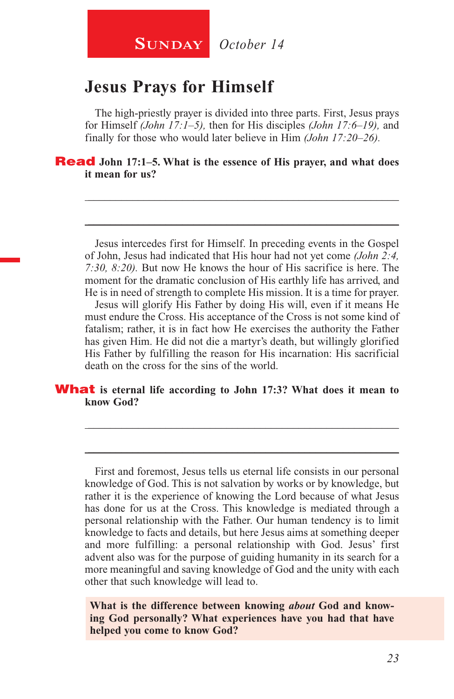## **Jesus Prays for Himself**

The high-priestly prayer is divided into three parts. First, Jesus prays for Himself *(John 17:1–5),* then for His disciples *(John 17:6–19),* and finally for those who would later believe in Him *(John 17:20–26).*

\_\_\_\_\_\_\_\_\_\_\_\_\_\_\_\_\_\_\_\_\_\_\_\_\_\_\_\_\_\_\_\_\_\_\_\_\_\_\_\_\_\_\_\_\_\_\_\_\_\_\_\_\_\_\_\_

\_\_\_\_\_\_\_\_\_\_\_\_\_\_\_\_\_\_\_\_\_\_\_\_\_\_\_\_\_\_\_\_\_\_\_\_\_\_\_\_\_\_\_\_\_\_\_\_\_\_\_\_\_\_\_\_

Read **John 17:1–5. What is the essence of His prayer, and what does it mean for us?** 

Jesus intercedes first for Himself. In preceding events in the Gospel of John, Jesus had indicated that His hour had not yet come *(John 2:4, 7:30, 8:20).* But now He knows the hour of His sacrifice is here. The moment for the dramatic conclusion of His earthly life has arrived, and He is in need of strength to complete His mission. It is a time for prayer.

Jesus will glorify His Father by doing His will, even if it means He must endure the Cross. His acceptance of the Cross is not some kind of fatalism; rather, it is in fact how He exercises the authority the Father has given Him. He did not die a martyr's death, but willingly glorified His Father by fulfilling the reason for His incarnation: His sacrificial death on the cross for the sins of the world.

\_\_\_\_\_\_\_\_\_\_\_\_\_\_\_\_\_\_\_\_\_\_\_\_\_\_\_\_\_\_\_\_\_\_\_\_\_\_\_\_\_\_\_\_\_\_\_\_\_\_\_\_\_\_\_\_

\_\_\_\_\_\_\_\_\_\_\_\_\_\_\_\_\_\_\_\_\_\_\_\_\_\_\_\_\_\_\_\_\_\_\_\_\_\_\_\_\_\_\_\_\_\_\_\_\_\_\_\_\_\_\_\_

#### **What** is eternal life according to John 17:3? What does it mean to **know God?**

First and foremost, Jesus tells us eternal life consists in our personal knowledge of God. This is not salvation by works or by knowledge, but rather it is the experience of knowing the Lord because of what Jesus has done for us at the Cross. This knowledge is mediated through a personal relationship with the Father. Our human tendency is to limit knowledge to facts and details, but here Jesus aims at something deeper and more fulfilling: a personal relationship with God. Jesus' first advent also was for the purpose of guiding humanity in its search for a more meaningful and saving knowledge of God and the unity with each other that such knowledge will lead to.

**What is the difference between knowing** *about* **God and knowing God personally? What experiences have you had that have helped you come to know God?**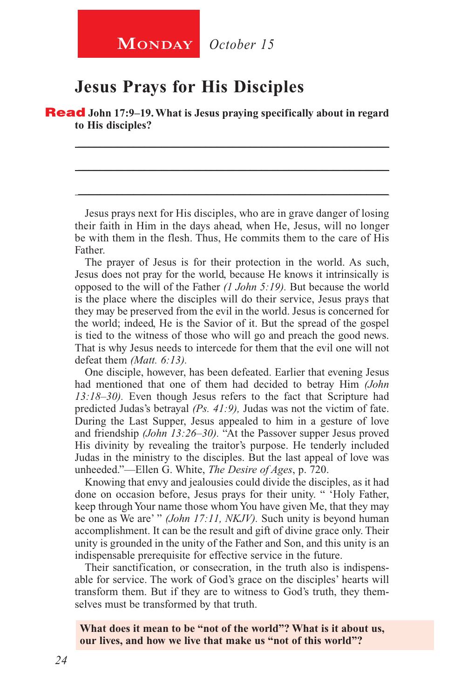## **Jesus Prays for His Disciples**

Read **John 17:9–19. What is Jesus praying specifically about in regard to His disciples?** 

\_\_\_\_\_\_\_\_\_\_\_\_\_\_\_\_\_\_\_\_\_\_\_\_\_\_\_\_\_\_\_\_\_\_\_\_\_\_\_\_\_\_\_\_\_\_\_\_\_\_\_\_\_\_\_\_

\_\_\_\_\_\_\_\_\_\_\_\_\_\_\_\_\_\_\_\_\_\_\_\_\_\_\_\_\_\_\_\_\_\_\_\_\_\_\_\_\_\_\_\_\_\_\_\_\_\_\_\_\_\_\_\_

\_\_\_\_\_\_\_\_\_\_\_\_\_\_\_\_\_\_\_\_\_\_\_\_\_\_\_\_\_\_\_\_\_\_\_\_\_\_\_\_\_\_\_\_\_\_\_\_\_\_\_\_\_\_\_\_

Jesus prays next for His disciples, who are in grave danger of losing their faith in Him in the days ahead, when He, Jesus, will no longer be with them in the flesh. Thus, He commits them to the care of His Father.

The prayer of Jesus is for their protection in the world. As such, Jesus does not pray for the world, because He knows it intrinsically is opposed to the will of the Father *(1 John 5:19).* But because the world is the place where the disciples will do their service, Jesus prays that they may be preserved from the evil in the world. Jesus is concerned for the world; indeed, He is the Savior of it. But the spread of the gospel is tied to the witness of those who will go and preach the good news. That is why Jesus needs to intercede for them that the evil one will not defeat them *(Matt. 6:13).*

One disciple, however, has been defeated. Earlier that evening Jesus had mentioned that one of them had decided to betray Him *(John 13:18–30).* Even though Jesus refers to the fact that Scripture had predicted Judas's betrayal *(Ps. 41:9),* Judas was not the victim of fate. During the Last Supper, Jesus appealed to him in a gesture of love and friendship *(John 13:26–30).* "At the Passover supper Jesus proved His divinity by revealing the traitor's purpose. He tenderly included Judas in the ministry to the disciples. But the last appeal of love was unheeded."—Ellen G. White, *The Desire of Ages*, p. 720.

Knowing that envy and jealousies could divide the disciples, as it had done on occasion before, Jesus prays for their unity. " 'Holy Father, keep through Your name those whom You have given Me, that they may be one as We are' " *(John 17:11, NKJV).* Such unity is beyond human accomplishment. It can be the result and gift of divine grace only. Their unity is grounded in the unity of the Father and Son, and this unity is an indispensable prerequisite for effective service in the future.

Their sanctification, or consecration, in the truth also is indispensable for service. The work of God's grace on the disciples' hearts will transform them. But if they are to witness to God's truth, they themselves must be transformed by that truth.

**What does it mean to be "not of the world"? What is it about us, our lives, and how we live that make us "not of this world"?**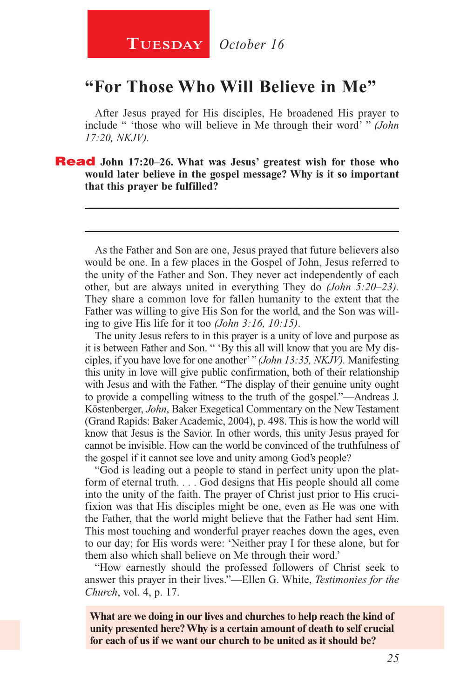## **"For Those Who Will Believe in Me"**

After Jesus prayed for His disciples, He broadened His prayer to include " 'those who will believe in Me through their word' " *(John 17:20, NKJV).*

\_\_\_\_\_\_\_\_\_\_\_\_\_\_\_\_\_\_\_\_\_\_\_\_\_\_\_\_\_\_\_\_\_\_\_\_\_\_\_\_\_\_\_\_\_\_\_\_\_\_\_\_\_\_\_\_

\_\_\_\_\_\_\_\_\_\_\_\_\_\_\_\_\_\_\_\_\_\_\_\_\_\_\_\_\_\_\_\_\_\_\_\_\_\_\_\_\_\_\_\_\_\_\_\_\_\_\_\_\_\_\_\_

Read **John 17:20–26. What was Jesus' greatest wish for those who would later believe in the gospel message? Why is it so important that this prayer be fulfilled?**

As the Father and Son are one, Jesus prayed that future believers also would be one. In a few places in the Gospel of John, Jesus referred to the unity of the Father and Son. They never act independently of each other, but are always united in everything They do *(John 5:20–23).* They share a common love for fallen humanity to the extent that the Father was willing to give His Son for the world, and the Son was willing to give His life for it too *(John 3:16, 10:15)*.

The unity Jesus refers to in this prayer is a unity of love and purpose as it is between Father and Son. " 'By this all will know that you are My disciples, if you have love for one another' " *(John 13:35, NKJV).* Manifesting this unity in love will give public confirmation, both of their relationship with Jesus and with the Father. "The display of their genuine unity ought to provide a compelling witness to the truth of the gospel."—Andreas J. Köstenberger, *John*, Baker Exegetical Commentary on the New Testament (Grand Rapids: Baker Academic, 2004), p. 498. This is how the world will know that Jesus is the Savior. In other words, this unity Jesus prayed for cannot be invisible. How can the world be convinced of the truthfulness of the gospel if it cannot see love and unity among God's people?

"God is leading out a people to stand in perfect unity upon the platform of eternal truth. . . . God designs that His people should all come into the unity of the faith. The prayer of Christ just prior to His crucifixion was that His disciples might be one, even as He was one with the Father, that the world might believe that the Father had sent Him. This most touching and wonderful prayer reaches down the ages, even to our day; for His words were: 'Neither pray I for these alone, but for them also which shall believe on Me through their word.'

"How earnestly should the professed followers of Christ seek to answer this prayer in their lives."—Ellen G. White, *Testimonies for the Church*, vol. 4, p. 17.

**What are we doing in our lives and churches to help reach the kind of unity presented here? Why is a certain amount of death to self crucial for each of us if we want our church to be united as it should be?**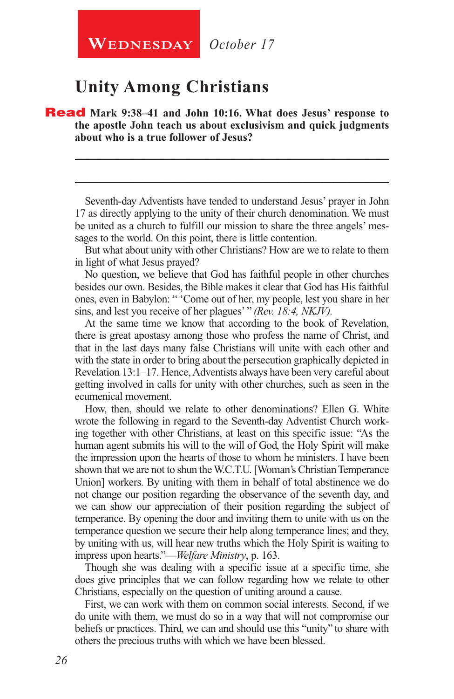## **Unity Among Christians**

#### Read **Mark 9:38–41 and John 10:16. What does Jesus' response to the apostle John teach us about exclusivism and quick judgments about who is a true follower of Jesus?**

Seventh-day Adventists have tended to understand Jesus' prayer in John 17 as directly applying to the unity of their church denomination. We must be united as a church to fulfill our mission to share the three angels' messages to the world. On this point, there is little contention.

\_\_\_\_\_\_\_\_\_\_\_\_\_\_\_\_\_\_\_\_\_\_\_\_\_\_\_\_\_\_\_\_\_\_\_\_\_\_\_\_\_\_\_\_\_\_\_\_\_\_\_\_\_\_\_\_

\_\_\_\_\_\_\_\_\_\_\_\_\_\_\_\_\_\_\_\_\_\_\_\_\_\_\_\_\_\_\_\_\_\_\_\_\_\_\_\_\_\_\_\_\_\_\_\_\_\_\_\_\_\_\_\_

But what about unity with other Christians? How are we to relate to them in light of what Jesus prayed?

No question, we believe that God has faithful people in other churches besides our own. Besides, the Bible makes it clear that God has His faithful ones, even in Babylon: " 'Come out of her, my people, lest you share in her sins, and lest you receive of her plagues' " *(Rev. 18:4, NKJV).*

At the same time we know that according to the book of Revelation, there is great apostasy among those who profess the name of Christ, and that in the last days many false Christians will unite with each other and with the state in order to bring about the persecution graphically depicted in Revelation 13:1–17. Hence, Adventists always have been very careful about getting involved in calls for unity with other churches, such as seen in the ecumenical movement.

How, then, should we relate to other denominations? Ellen G. White wrote the following in regard to the Seventh-day Adventist Church working together with other Christians, at least on this specific issue: "As the human agent submits his will to the will of God, the Holy Spirit will make the impression upon the hearts of those to whom he ministers. I have been shown that we are not to shun the W.C.T.U. [Woman's Christian Temperance Union] workers. By uniting with them in behalf of total abstinence we do not change our position regarding the observance of the seventh day, and we can show our appreciation of their position regarding the subject of temperance. By opening the door and inviting them to unite with us on the temperance question we secure their help along temperance lines; and they, by uniting with us, will hear new truths which the Holy Spirit is waiting to impress upon hearts."—*Welfare Ministry*, p. 163.

Though she was dealing with a specific issue at a specific time, she does give principles that we can follow regarding how we relate to other Christians, especially on the question of uniting around a cause.

First, we can work with them on common social interests. Second, if we do unite with them, we must do so in a way that will not compromise our beliefs or practices. Third, we can and should use this "unity" to share with others the precious truths with which we have been blessed.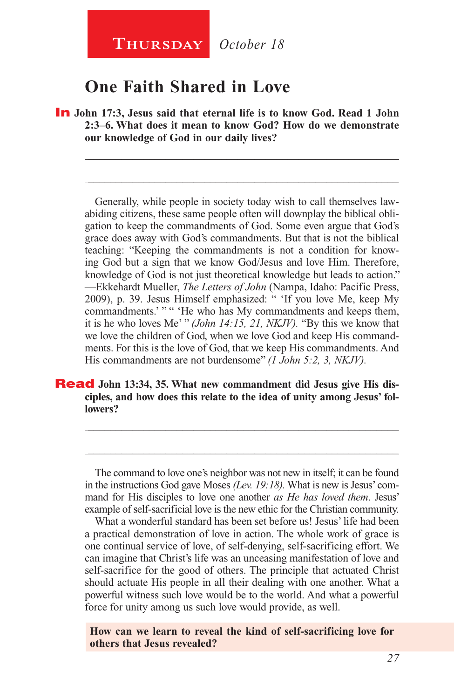**Thursday** *October 18*

## **One Faith Shared in Love**

**In** John 17:3, Jesus said that eternal life is to know God. Read 1 John **2:3–6. What does it mean to know God? How do we demonstrate our knowledge of God in our daily lives?**

\_\_\_\_\_\_\_\_\_\_\_\_\_\_\_\_\_\_\_\_\_\_\_\_\_\_\_\_\_\_\_\_\_\_\_\_\_\_\_\_\_\_\_\_\_\_\_\_\_\_\_\_\_\_\_\_

\_\_\_\_\_\_\_\_\_\_\_\_\_\_\_\_\_\_\_\_\_\_\_\_\_\_\_\_\_\_\_\_\_\_\_\_\_\_\_\_\_\_\_\_\_\_\_\_\_\_\_\_\_\_\_\_

Generally, while people in society today wish to call themselves lawabiding citizens, these same people often will downplay the biblical obligation to keep the commandments of God. Some even argue that God's grace does away with God's commandments. But that is not the biblical teaching: "Keeping the commandments is not a condition for knowing God but a sign that we know God/Jesus and love Him. Therefore, knowledge of God is not just theoretical knowledge but leads to action." —Ekkehardt Mueller, *The Letters of John* (Nampa, Idaho: Pacific Press, 2009), p. 39. Jesus Himself emphasized: " 'If you love Me, keep My commandments.' " " " He who has My commandments and keeps them, it is he who loves Me' " *(John 14:15, 21, NKJV).* "By this we know that we love the children of God, when we love God and keep His commandments. For this is the love of God, that we keep His commandments. And His commandments are not burdensome" *(1 John 5:2, 3, NKJV).*

#### **Read** John 13:34, 35. What new commandment did Jesus give His dis**ciples, and how does this relate to the idea of unity among Jesus' followers?**

The command to love one's neighbor was not new in itself; it can be found in the instructions God gave Moses *(Lev. 19:18).* What is new is Jesus' command for His disciples to love one another *as He has loved them*. Jesus' example of self-sacrificial love is the new ethic for the Christian community.

\_\_\_\_\_\_\_\_\_\_\_\_\_\_\_\_\_\_\_\_\_\_\_\_\_\_\_\_\_\_\_\_\_\_\_\_\_\_\_\_\_\_\_\_\_\_\_\_\_\_\_\_\_\_\_\_

\_\_\_\_\_\_\_\_\_\_\_\_\_\_\_\_\_\_\_\_\_\_\_\_\_\_\_\_\_\_\_\_\_\_\_\_\_\_\_\_\_\_\_\_\_\_\_\_\_\_\_\_\_\_\_\_

What a wonderful standard has been set before us! Jesus' life had been a practical demonstration of love in action. The whole work of grace is one continual service of love, of self-denying, self-sacrificing effort. We can imagine that Christ's life was an unceasing manifestation of love and self-sacrifice for the good of others. The principle that actuated Christ should actuate His people in all their dealing with one another. What a powerful witness such love would be to the world. And what a powerful force for unity among us such love would provide, as well.

**How can we learn to reveal the kind of self-sacrificing love for others that Jesus revealed?**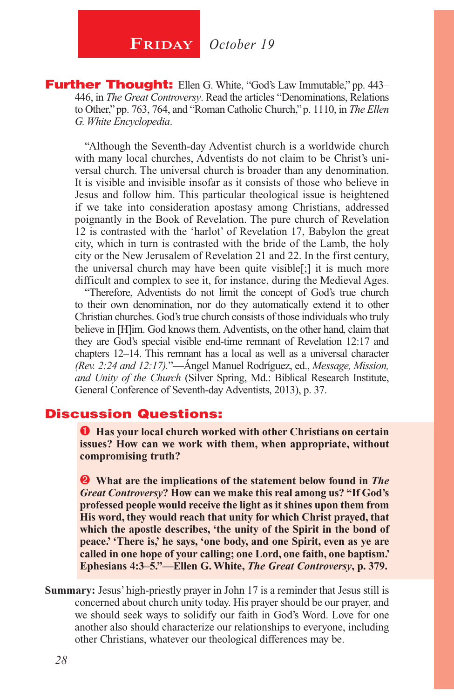## **FRIDAY** October 19

**Further Thought:** Ellen G. White, "God's Law Immutable," pp. 443– 446, in *The Great Controversy*. Read the articles "Denominations, Relations to Other," pp. 763, 764, and "Roman Catholic Church," p. 1110, in *The Ellen G. White Encyclopedia*.

"Although the Seventh-day Adventist church is a worldwide church with many local churches, Adventists do not claim to be Christ's universal church. The universal church is broader than any denomination. It is visible and invisible insofar as it consists of those who believe in Jesus and follow him. This particular theological issue is heightened if we take into consideration apostasy among Christians, addressed poignantly in the Book of Revelation. The pure church of Revelation 12 is contrasted with the 'harlot' of Revelation 17, Babylon the great city, which in turn is contrasted with the bride of the Lamb, the holy city or the New Jerusalem of Revelation 21 and 22. In the first century, the universal church may have been quite visible[;] it is much more difficult and complex to see it, for instance, during the Medieval Ages.

"Therefore, Adventists do not limit the concept of God's true church to their own denomination, nor do they automatically extend it to other Christian churches. God's true church consists of those individuals who truly believe in [H]im. God knows them. Adventists, on the other hand, claim that they are God's special visible end-time remnant of Revelation 12:17 and chapters 12–14. This remnant has a local as well as a universal character *(Rev. 2:24 and 12:17).*"—Ángel Manuel Rodríguez, ed., *Message, Mission, and Unity of the Church* (Silver Spring, Md.: Biblical Research Institute, General Conference of Seventh-day Adventists, 2013), p. 37.

#### Discussion Questions:

 $\bullet$  Has your local church worked with other Christians on certain **issues? How can we work with them, when appropriate, without compromising truth?**

 **What are the implications of the statement below found in** *The Great Controversy***? How can we make this real among us? "If God's professed people would receive the light as it shines upon them from His word, they would reach that unity for which Christ prayed, that which the apostle describes, 'the unity of the Spirit in the bond of peace.' 'There is,' he says, 'one body, and one Spirit, even as ye are called in one hope of your calling; one Lord, one faith, one baptism.' Ephesians 4:3–5."—Ellen G. White,** *The Great Controversy***, p. 379.**

**Summary:** Jesus' high-priestly prayer in John 17 is a reminder that Jesus still is concerned about church unity today. His prayer should be our prayer, and we should seek ways to solidify our faith in God's Word. Love for one another also should characterize our relationships to everyone, including other Christians, whatever our theological differences may be.